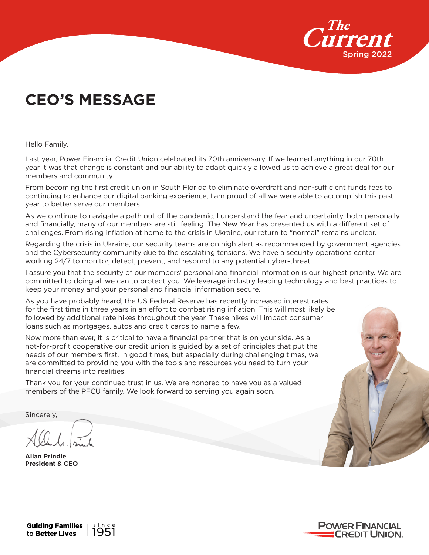

# **CEO'S MESSAGE**

Hello Family,

Last year, Power Financial Credit Union celebrated its 70th anniversary. If we learned anything in our 70th year it was that change is constant and our ability to adapt quickly allowed us to achieve a great deal for our members and community.

From becoming the first credit union in South Florida to eliminate overdraft and non-sufficient funds fees to continuing to enhance our digital banking experience, I am proud of all we were able to accomplish this past year to better serve our members.

As we continue to navigate a path out of the pandemic, I understand the fear and uncertainty, both personally and financially, many of our members are still feeling. The New Year has presented us with a different set of challenges. From rising inflation at home to the crisis in Ukraine, our return to "normal" remains unclear.

Regarding the crisis in Ukraine, our security teams are on high alert as recommended by government agencies and the Cybersecurity community due to the escalating tensions. We have a security operations center working 24/7 to monitor, detect, prevent, and respond to any potential cyber-threat.

I assure you that the security of our members' personal and financial information is our highest priority. We are committed to doing all we can to protect you. We leverage industry leading technology and best practices to keep your money and your personal and financial information secure.

As you have probably heard, the US Federal Reserve has recently increased interest rates for the first time in three years in an effort to combat rising inflation. This will most likely be followed by additional rate hikes throughout the year. These hikes will impact consumer loans such as mortgages, autos and credit cards to name a few.

Now more than ever, it is critical to have a financial partner that is on your side. As a not-for-profit cooperative our credit union is guided by a set of principles that put the needs of our members first. In good times, but especially during challenging times, we are committed to providing you with the tools and resources you need to turn your financial dreams into realities.

Thank you for your continued trust in us. We are honored to have you as a valued members of the PFCU family. We look forward to serving you again soon.

Sincerely,

**Allan Prindle President & CEO**